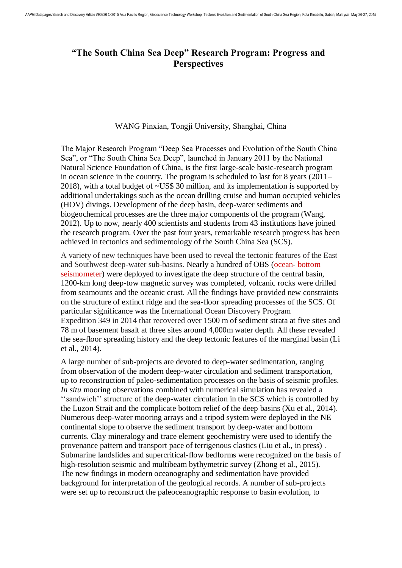## **"The South China Sea Deep" Research Program: Progress and Perspectives**

## WANG Pinxian, Tongji University, Shanghai, China

The Major Research Program "Deep Sea Processes and Evolution of the South China Sea", or "The South China Sea Deep", launched in January 2011 by the National Natural Science Foundation of China, is the first large-scale basic-research program in ocean science in the country. The program is scheduled to last for 8 years (2011– 2018), with a total budget of ~US\$ 30 million, and its implementation is supported by additional undertakings such as the ocean drilling cruise and human occupied vehicles (HOV) divings. Development of the deep basin, deep-water sediments and biogeochemical processes are the three major components of the program (Wang, 2012). Up to now, nearly 400 scientists and students from 43 institutions have joined the research program. Over the past four years, remarkable research progress has been achieved in tectonics and sedimentology of the South China Sea (SCS).

A variety of new techniques have been used to reveal the tectonic features of the East and Southwest deep-water sub-basins. Nearly a hundred of OBS (ocean- bottom seismometer) were deployed to investigate the deep structure of the central basin, 1200-km long deep-tow magnetic survey was completed, volcanic rocks were drilled from seamounts and the oceanic crust. All the findings have provided new constraints on the structure of extinct ridge and the sea-floor spreading processes of the SCS. Of particular significance was the International Ocean Discovery Program Expedition 349 in 2014 that recovered over 1500 m of sediment strata at five sites and 78 m of basement basalt at three sites around 4,000m water depth. All these revealed the sea-floor spreading history and the deep tectonic features of the marginal basin (Li et al., 2014).

A large number of sub-projects are devoted to deep-water sedimentation, ranging from observation of the modern deep-water circulation and sediment transportation, up to reconstruction of paleo-sedimentation processes on the basis of seismic profiles. *In situ* mooring observations combined with numerical simulation has revealed a ''sandwich'' structure of the deep-water circulation in the SCS which is controlled by the Luzon Strait and the complicate bottom relief of the deep basins (Xu et al., 2014). Numerous deep-water mooring arrays and a tripod system were deployed in the NE continental slope to observe the sediment transport by deep-water and bottom currents. Clay mineralogy and trace element geochemistry were used to identify the provenance pattern and transport pace of terrigenous clastics (Liu et al., in press) . Submarine landslides and supercritical-flow bedforms were recognized on the basis of high-resolution seismic and multibeam bythymetric survey (Zhong et al., 2015). The new findings in modern oceanography and sedimentation have provided background for interpretation of the geological records. A number of sub-projects were set up to reconstruct the paleoceanographic response to basin evolution, to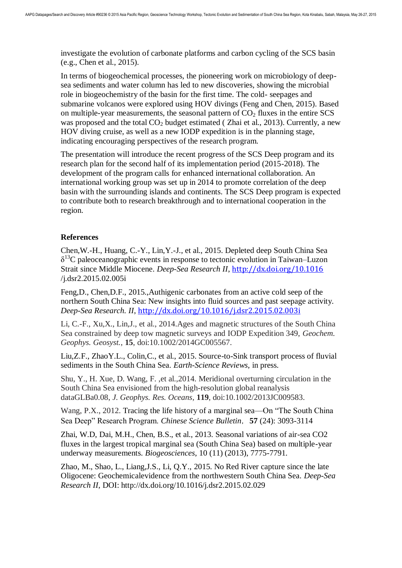investigate the evolution of carbonate platforms and carbon cycling of the SCS basin (e.g., Chen et al., 2015).

In terms of biogeochemical processes, the pioneering work on microbiology of deepsea sediments and water column has led to new discoveries, showing the microbial role in biogeochemistry of the basin for the first time. The cold- seepages and submarine volcanos were explored using HOV divings (Feng and Chen, 2015). Based on multiple-year measurements, the seasonal pattern of  $CO<sub>2</sub>$  fluxes in the entire SCS was proposed and the total  $CO<sub>2</sub>$  budget estimated (Zhai et al., 2013). Currently, a new HOV diving cruise, as well as a new IODP expedition is in the planning stage, indicating encouraging perspectives of the research program.

The presentation will introduce the recent progress of the SCS Deep program and its research plan for the second half of its implementation period (2015-2018). The development of the program calls for enhanced international collaboration. An international working group was set up in 2014 to promote correlation of the deep basin with the surrounding islands and continents. The SCS Deep program is expected to contribute both to research breakthrough and to international cooperation in the region.

## **References**

Chen,W.-H., Huang, C.-Y., Lin,Y.-J., et al., 2015. Depleted deep South China Sea  $\delta^{13}$ C paleoceanographic events in response to tectonic evolution in Taiwan–Luzon Strait since Middle Miocene. *Deep-Sea Research II*, <http://dx.doi.org/10.1016> /j.dsr2.2015.02.005i

Feng,D., Chen,D.F., 2015.,Authigenic carbonates from an active cold seep of the northern South China Sea: New insights into fluid sources and past seepage activity. *Deep-Sea Research. II*, <http://dx.doi.org/10.1016/j.dsr2.2015.02.003i>

Li, C.-F., Xu,X., Lin,J., et al., 2014.Ages and magnetic structures of the South China Sea constrained by deep tow magnetic surveys and IODP Expedition 349, *Geochem. Geophys. Geosyst.*, **15**, doi:10.1002/2014GC005567.

Liu,Z.F., ZhaoY.L., Colin,C., et al., 2015. Source-to-Sink transport process of fluvial sediments in the South China Sea. *Earth-Science Reviews*, in press.

Shu, Y., H. Xue, D. Wang, F. ,et al.,2014. Meridional overturning circulation in the South China Sea envisioned from the high-resolution global reanalysis dataGLBa0.08, *J. Geophys. Res. Oceans,* **119**, doi:10.1002/2013JC009583.

Wang, P.X., 2012. Tracing the life history of a marginal sea—On "The South China Sea Deep" Research Program. *Chinese Science Bulletin*,**57** (24): 3093-3114

Zhai, W.D, Dai, M.H., Chen, B.S., et al., 2013. Seasonal variations of air-sea CO2 fluxes in the largest tropical marginal sea (South China Sea) based on multiple-year underway measurements. *Biogeosciences*, 10 (11) (2013), 7775-7791.

Zhao, M., Shao, L., Liang,J.S., Li, Q.Y., 2015. No Red River capture since the late Oligocene: Geochemicalevidence from the northwestern South China Sea. *Deep-Sea Research II*, DOI: http://dx.doi.org/10.1016/j.dsr2.2015.02.029